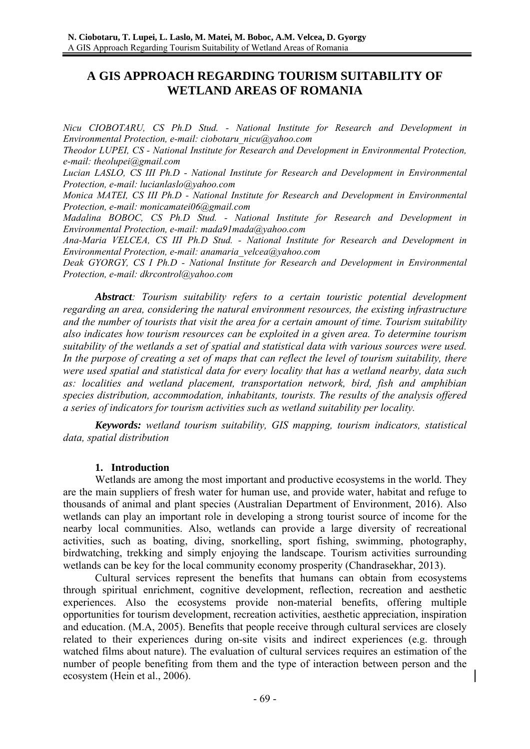# **A GIS APPROACH REGARDING TOURISM SUITABILITY OF WETLAND AREAS OF ROMANIA**

*Nicu CIOBOTARU, CS Ph.D Stud. - National Institute for Research and Development in Environmental Protection, e-mail: ciobotaru\_nicu@yahoo.com* 

*Theodor LUPEI, CS - National Institute for Research and Development in Environmental Protection, e-mail: theolupei@gmail.com* 

*Lucian LASLO, CS III Ph.D - National Institute for Research and Development in Environmental Protection, e-mail: lucianlaslo@yahoo.com* 

*Monica MATEI, CS III Ph.D - National Institute for Research and Development in Environmental Protection, e-mail: monicamatei06@gmail.com* 

*Madalina BOBOC, CS Ph.D Stud. - National Institute for Research and Development in Environmental Protection, e-mail: mada91mada@yahoo.com* 

*Ana-Maria VELCEA, CS III Ph.D Stud. - National Institute for Research and Development in Environmental Protection, e-mail: anamaria\_velcea@yahoo.com* 

*Deak GYORGY, CS I Ph.D - National Institute for Research and Development in Environmental Protection, e-mail: dkrcontrol@yahoo.com* 

 *Abstract: Tourism suitability refers to a certain touristic potential development regarding an area, considering the natural environment resources, the existing infrastructure and the number of tourists that visit the area for a certain amount of time. Tourism suitability also indicates how tourism resources can be exploited in a given area. To determine tourism suitability of the wetlands a set of spatial and statistical data with various sources were used. In the purpose of creating a set of maps that can reflect the level of tourism suitability, there were used spatial and statistical data for every locality that has a wetland nearby, data such as: localities and wetland placement, transportation network, bird, fish and amphibian species distribution, accommodation, inhabitants, tourists. The results of the analysis offered a series of indicators for tourism activities such as wetland suitability per locality.* 

 *Keywords: wetland tourism suitability, GIS mapping, tourism indicators, statistical data, spatial distribution*

#### **1. Introduction**

Wetlands are among the most important and productive ecosystems in the world. They are the main suppliers of fresh water for human use, and provide water, habitat and refuge to thousands of animal and plant species (Australian Department of Environment, 2016). Also wetlands can play an important role in developing a strong tourist source of income for the nearby local communities. Also, wetlands can provide a large diversity of recreational activities, such as boating, diving, snorkelling, sport fishing, swimming, photography, birdwatching, trekking and simply enjoying the landscape. Tourism activities surrounding wetlands can be key for the local community economy prosperity (Chandrasekhar, 2013).

Cultural services represent the benefits that humans can obtain from ecosystems through spiritual enrichment, cognitive development, reflection, recreation and aesthetic experiences. Also the ecosystems provide non-material benefits, offering multiple opportunities for tourism development, recreation activities, aesthetic appreciation, inspiration and education. (M.A, 2005). Benefits that people receive through cultural services are closely related to their experiences during on-site visits and indirect experiences (e.g. through watched films about nature). The evaluation of cultural services requires an estimation of the number of people benefiting from them and the type of interaction between person and the ecosystem (Hein et al., 2006).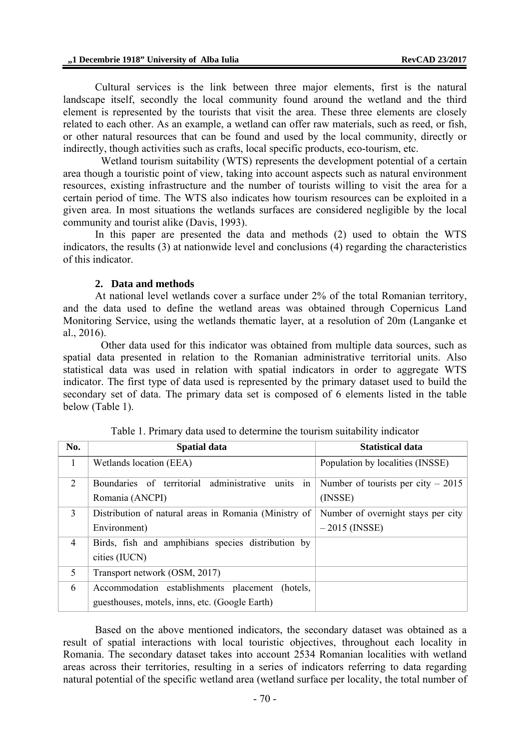Cultural services is the link between three major elements, first is the natural landscape itself, secondly the local community found around the wetland and the third element is represented by the tourists that visit the area. These three elements are closely related to each other. As an example, a wetland can offer raw materials, such as reed, or fish, or other natural resources that can be found and used by the local community, directly or indirectly, though activities such as crafts, local specific products, eco-tourism, etc.

 Wetland tourism suitability (WTS) represents the development potential of a certain area though a touristic point of view, taking into account aspects such as natural environment resources, existing infrastructure and the number of tourists willing to visit the area for a certain period of time. The WTS also indicates how tourism resources can be exploited in a given area. In most situations the wetlands surfaces are considered negligible by the local community and tourist alike (Davis, 1993).

In this paper are presented the data and methods (2) used to obtain the WTS indicators, the results (3) at nationwide level and conclusions (4) regarding the characteristics of this indicator.

#### **2. Data and methods**

At national level wetlands cover a surface under 2% of the total Romanian territory, and the data used to define the wetland areas was obtained through Copernicus Land Monitoring Service, using the wetlands thematic layer, at a resolution of 20m (Langanke et al., 2016).

 Other data used for this indicator was obtained from multiple data sources, such as spatial data presented in relation to the Romanian administrative territorial units. Also statistical data was used in relation with spatial indicators in order to aggregate WTS indicator. The first type of data used is represented by the primary dataset used to build the secondary set of data. The primary data set is composed of 6 elements listed in the table below (Table 1).

| No.            | <b>Spatial data</b>                                   | <b>Statistical data</b>             |  |
|----------------|-------------------------------------------------------|-------------------------------------|--|
| $\overline{1}$ | Wetlands location (EEA)                               | Population by localities (INSSE)    |  |
| 2              | Boundaries of territorial administrative units in     | Number of tourists per city $-2015$ |  |
|                | Romania (ANCPI)                                       | (INSSE)                             |  |
| 3              | Distribution of natural areas in Romania (Ministry of | Number of overnight stays per city  |  |
|                | Environment)                                          | $-2015$ (INSSE)                     |  |
| $\overline{4}$ | Birds, fish and amphibians species distribution by    |                                     |  |
|                | cities (IUCN)                                         |                                     |  |
| 5              | Transport network (OSM, 2017)                         |                                     |  |
| 6              | Accommodation establishments placement<br>(hotels.)   |                                     |  |
|                | guesthouses, motels, inns, etc. (Google Earth)        |                                     |  |

Table 1. Primary data used to determine the tourism suitability indicator

Based on the above mentioned indicators, the secondary dataset was obtained as a result of spatial interactions with local touristic objectives, throughout each locality in Romania. The secondary dataset takes into account 2534 Romanian localities with wetland areas across their territories, resulting in a series of indicators referring to data regarding natural potential of the specific wetland area (wetland surface per locality, the total number of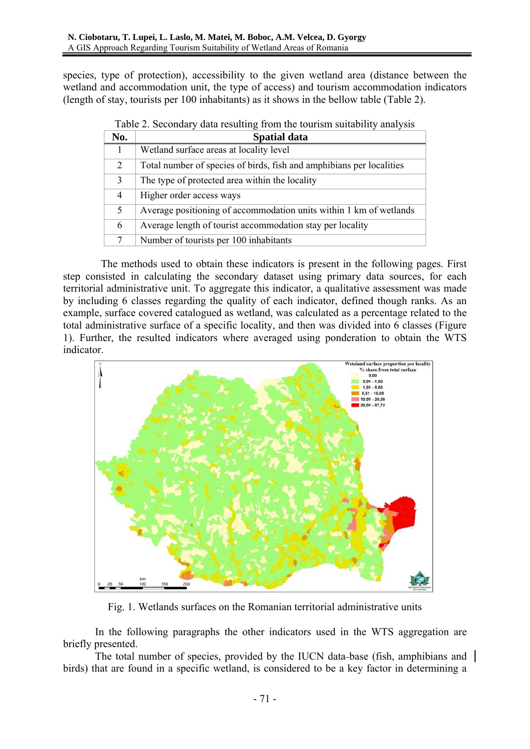species, type of protection), accessibility to the given wetland area (distance between the wetland and accommodation unit, the type of access) and tourism accommodation indicators (length of stay, tourists per 100 inhabitants) as it shows in the bellow table (Table 2).

| No. | <b>Spatial data</b>                                                  |  |  |
|-----|----------------------------------------------------------------------|--|--|
| 1   | Wetland surface areas at locality level                              |  |  |
| 2   | Total number of species of birds, fish and amphibians per localities |  |  |
| 3   | The type of protected area within the locality                       |  |  |
| 4   | Higher order access ways                                             |  |  |
| 5   | Average positioning of accommodation units within 1 km of wetlands   |  |  |
| 6   | Average length of tourist accommodation stay per locality            |  |  |
| 7   | Number of tourists per 100 inhabitants                               |  |  |

|  |  |  |  |  | Table 2. Secondary data resulting from the tourism suitability analysis |
|--|--|--|--|--|-------------------------------------------------------------------------|
|--|--|--|--|--|-------------------------------------------------------------------------|

The methods used to obtain these indicators is present in the following pages. First step consisted in calculating the secondary dataset using primary data sources, for each territorial administrative unit. To aggregate this indicator, a qualitative assessment was made by including 6 classes regarding the quality of each indicator, defined though ranks. As an example, surface covered catalogued as wetland, was calculated as a percentage related to the total administrative surface of a specific locality, and then was divided into 6 classes (Figure 1). Further, the resulted indicators where averaged using ponderation to obtain the WTS indicator.



Fig. 1. Wetlands surfaces on the Romanian territorial administrative units

In the following paragraphs the other indicators used in the WTS aggregation are briefly presented.

The total number of species, provided by the IUCN data-base (fish, amphibians and  $\parallel$ birds) that are found in a specific wetland, is considered to be a key factor in determining a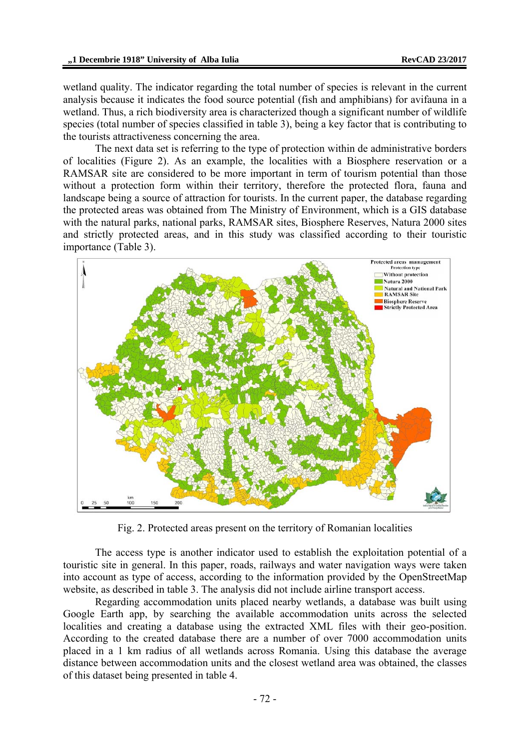wetland quality. The indicator regarding the total number of species is relevant in the current analysis because it indicates the food source potential (fish and amphibians) for avifauna in a wetland. Thus, a rich biodiversity area is characterized though a significant number of wildlife species (total number of species classified in table 3), being a key factor that is contributing to the tourists attractiveness concerning the area.

The next data set is referring to the type of protection within de administrative borders of localities (Figure 2). As an example, the localities with a Biosphere reservation or a RAMSAR site are considered to be more important in term of tourism potential than those without a protection form within their territory, therefore the protected flora, fauna and landscape being a source of attraction for tourists. In the current paper, the database regarding the protected areas was obtained from The Ministry of Environment, which is a GIS database with the natural parks, national parks, RAMSAR sites, Biosphere Reserves, Natura 2000 sites and strictly protected areas, and in this study was classified according to their touristic importance (Table 3).



Fig. 2. Protected areas present on the territory of Romanian localities

The access type is another indicator used to establish the exploitation potential of a touristic site in general. In this paper, roads, railways and water navigation ways were taken into account as type of access, according to the information provided by the OpenStreetMap website, as described in table 3. The analysis did not include airline transport access.

Regarding accommodation units placed nearby wetlands, a database was built using Google Earth app, by searching the available accommodation units across the selected localities and creating a database using the extracted XML files with their geo-position. According to the created database there are a number of over 7000 accommodation units placed in a 1 km radius of all wetlands across Romania. Using this database the average distance between accommodation units and the closest wetland area was obtained, the classes of this dataset being presented in table 4.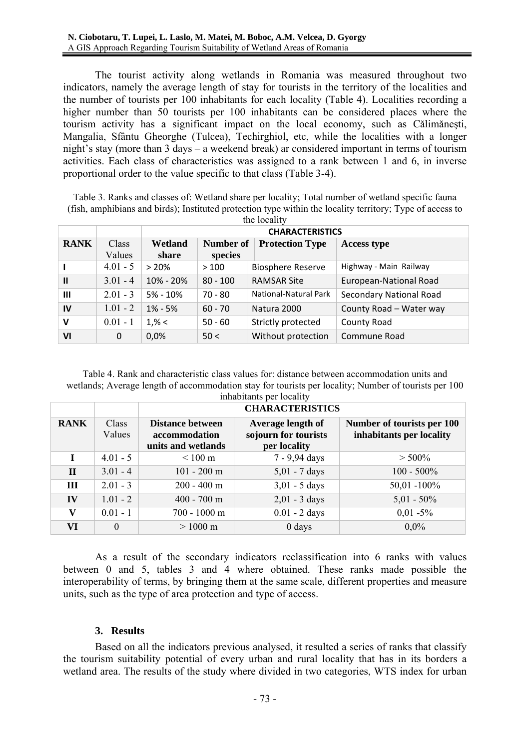The tourist activity along wetlands in Romania was measured throughout two indicators, namely the average length of stay for tourists in the territory of the localities and the number of tourists per 100 inhabitants for each locality (Table 4). Localities recording a higher number than 50 tourists per 100 inhabitants can be considered places where the tourism activity has a significant impact on the local economy, such as Călimăneşti, Mangalia, Sfântu Gheorghe (Tulcea), Techirghiol, etc, while the localities with a longer night's stay (more than 3 days – a weekend break) ar considered important in terms of tourism activities. Each class of characteristics was assigned to a rank between 1 and 6, in inverse proportional order to the value specific to that class (Table 3-4).

Table 3. Ranks and classes of: Wetland share per locality; Total number of wetland specific fauna (fish, amphibians and birds); Instituted protection type within the locality territory; Type of access to the locality

|               |            | <b>CHARACTERISTICS</b> |                  |                              |                                |
|---------------|------------|------------------------|------------------|------------------------------|--------------------------------|
| <b>RANK</b>   | Class      | Wetland                | <b>Number of</b> | <b>Protection Type</b>       | <b>Access type</b>             |
|               | Values     | share                  | species          |                              |                                |
|               | $4.01 - 5$ | >20%                   | >100             | <b>Biosphere Reserve</b>     | Highway - Main Railway         |
| $\mathbf{II}$ | $3.01 - 4$ | 10% - 20%              | $80 - 100$       | <b>RAMSAR Site</b>           | European-National Road         |
| $\mathbf{m}$  | $2.01 - 3$ | $5% - 10%$             | $70 - 80$        | <b>National-Natural Park</b> | <b>Secondary National Road</b> |
| IV            | $1.01 - 2$ | $1\% - 5\%$            | $60 - 70$        | Natura 2000                  | County Road - Water way        |
| $\mathbf v$   | $0.01 - 1$ | $1, \% <$              | $50 - 60$        | Strictly protected           | <b>County Road</b>             |
| VI            | 0          | 0,0%                   | 50<              | Without protection           | Commune Road                   |

Table 4. Rank and characteristic class values for: distance between accommodation units and wetlands; Average length of accommodation stay for tourists per locality; Number of tourists per 100 inhabitants per locality

|              |                 | m <sub>1</sub><br><b>CHARACTERISTICS</b>                       |                                                           |                                                        |  |
|--------------|-----------------|----------------------------------------------------------------|-----------------------------------------------------------|--------------------------------------------------------|--|
| <b>RANK</b>  | Class<br>Values | <b>Distance between</b><br>accommodation<br>units and wetlands | Average length of<br>sojourn for tourists<br>per locality | Number of tourists per 100<br>inhabitants per locality |  |
|              | $4.01 - 5$      | $< 100 \text{ m}$                                              | 7 - 9,94 days                                             | $> 500\%$                                              |  |
| $\mathbf{I}$ | $3.01 - 4$      | $101 - 200$ m                                                  | $5,01 - 7$ days                                           | $100 - 500\%$                                          |  |
| Ш            | $2.01 - 3$      | $200 - 400$ m                                                  | $3,01 - 5$ days                                           | $50,01 - 100\%$                                        |  |
| IV           | $1.01 - 2$      | $400 - 700$ m                                                  | $2,01 - 3$ days                                           | $5,01 - 50\%$                                          |  |
| V            | $0.01 - 1$      | 700 - 1000 m                                                   | $0.01 - 2$ days                                           | $0,01 - 5\%$                                           |  |
| VI           | $\theta$        | $> 1000 \text{ m}$                                             | $0$ days                                                  | $0.0\%$                                                |  |

As a result of the secondary indicators reclassification into 6 ranks with values between 0 and 5, tables 3 and 4 where obtained. These ranks made possible the interoperability of terms, by bringing them at the same scale, different properties and measure units, such as the type of area protection and type of access.

#### **3. Results**

Based on all the indicators previous analysed, it resulted a series of ranks that classify the tourism suitability potential of every urban and rural locality that has in its borders a wetland area. The results of the study where divided in two categories, WTS index for urban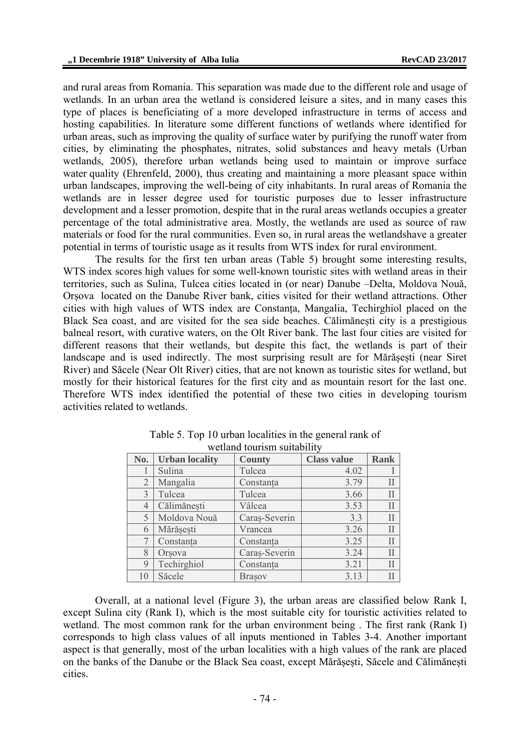and rural areas from Romania. This separation was made due to the different role and usage of wetlands. In an urban area the wetland is considered leisure a sites, and in many cases this type of places is beneficiating of a more developed infrastructure in terms of access and hosting capabilities. In literature some different functions of wetlands where identified for urban areas, such as improving the quality of surface water by purifying the runoff water from cities, by eliminating the phosphates, nitrates, solid substances and heavy metals (Urban wetlands, 2005), therefore urban wetlands being used to maintain or improve surface water quality (Ehrenfeld, 2000), thus creating and maintaining a more pleasant space within urban landscapes, improving the well-being of city inhabitants. In rural areas of Romania the wetlands are in lesser degree used for touristic purposes due to lesser infrastructure development and a lesser promotion, despite that in the rural areas wetlands occupies a greater percentage of the total administrative area. Mostly, the wetlands are used as source of raw materials or food for the rural communities. Even so, in rural areas the wetlandshave a greater potential in terms of touristic usage as it results from WTS index for rural environment.

The results for the first ten urban areas (Table 5) brought some interesting results, WTS index scores high values for some well-known touristic sites with wetland areas in their territories, such as Sulina, Tulcea cities located in (or near) Danube –Delta, Moldova Nouă, Orșova located on the Danube River bank, cities visited for their wetland attractions. Other cities with high values of WTS index are Constanța, Mangalia, Techirghiol placed on the Black Sea coast, and are visited for the sea side beaches. Călimănești city is a prestigious balneal resort, with curative waters, on the Olt River bank. The last four cities are visited for different reasons that their wetlands, but despite this fact, the wetlands is part of their landscape and is used indirectly. The most surprising result are for Mărăsești (near Siret River) and Săcele (Near Olt River) cities, that are not known as touristic sites for wetland, but mostly for their historical features for the first city and as mountain resort for the last one. Therefore WTS index identified the potential of these two cities in developing tourism activities related to wetlands.

| No.            | <b>Urban locality</b> | <b>County</b> | <b>Class value</b> | <b>Rank</b> |
|----------------|-----------------------|---------------|--------------------|-------------|
|                | Sulina                | Tulcea        | 4.02               |             |
| $\overline{2}$ | Mangalia              | Constanta     | 3.79               | Н           |
| 3              | Tulcea                | Tulcea        | 3.66               | Н           |
| 4              | Călimănești           | Vâlcea        | 3.53               |             |
| 5              | Moldova Nouă          | Caraș-Severin | 3.3                | Н           |
| 6              | Mărășești             | Vrancea       | 3.26               | Н           |
|                | Constanța             | Constanța     | 3.25               | Н           |
| 8              | Orsova                | Caraș-Severin | 3.24               | Н           |
| 9              | Techirghiol           | Constanța     | 3.21               | Н           |
| 10             | Săcele                | <b>Brasov</b> | 3.13               |             |

Table 5. Top 10 urban localities in the general rank of wetland tourism suitability

Overall, at a national level (Figure 3), the urban areas are classified below Rank I, except Sulina city (Rank I), which is the most suitable city for touristic activities related to wetland. The most common rank for the urban environment being . The first rank (Rank I) corresponds to high class values of all inputs mentioned in Tables 3-4. Another important aspect is that generally, most of the urban localities with a high values of the rank are placed on the banks of the Danube or the Black Sea coast, except Mărășești, Săcele and Călimănești cities.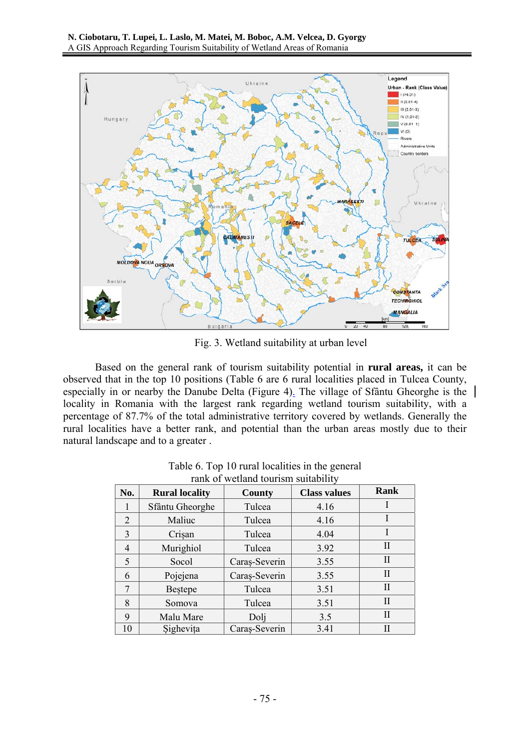

Fig. 3. Wetland suitability at urban level

Based on the general rank of tourism suitability potential in **rural areas,** it can be observed that in the top 10 positions (Table 6 are 6 rural localities placed in Tulcea County, especially in or nearby the Danube Delta (Figure 4). The village of Sfântu Gheorghe is the locality in Romania with the largest rank regarding wetland tourism suitability, with a percentage of 87.7% of the total administrative territory covered by wetlands. Generally the rural localities have a better rank, and potential than the urban areas mostly due to their natural landscape and to a greater .

| No.            | <b>Rural locality</b> | County        | <b>Class values</b> | Rank         |
|----------------|-----------------------|---------------|---------------------|--------------|
| 1              | Sfântu Gheorghe       | Tulcea        | 4.16                | I            |
| 2              | Maliuc                | Tulcea        | 4.16                |              |
| $\overline{3}$ | Crisan                | Tulcea        | 4.04                | I            |
| 4              | Murighiol             | Tulcea        | 3.92                | $_{\rm II}$  |
| 5              | Socol                 | Caraș-Severin | 3.55                | $\mathbf{I}$ |
| 6              | Pojejena              | Caraș-Severin | 3.55                | $\mathbf{H}$ |
| 7              | <b>Bestepe</b>        | Tulcea        | 3.51                | $\mathbf{H}$ |
| 8              | Somova                | Tulcea        | 3.51                | $\rm II$     |
| 9              | Malu Mare             | Dolj          | 3.5                 | П            |
| 10             | Sighevița             | Caraș-Severin | 3.41                | Н            |

| Table 6. Top 10 rural localities in the general |
|-------------------------------------------------|
| rank of wetland tourism suitability             |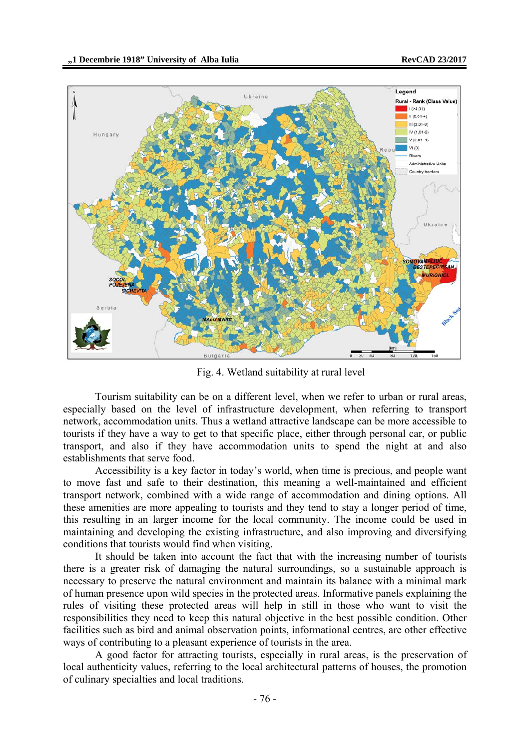

Fig. 4. Wetland suitability at rural level

Tourism suitability can be on a different level, when we refer to urban or rural areas, especially based on the level of infrastructure development, when referring to transport network, accommodation units. Thus a wetland attractive landscape can be more accessible to tourists if they have a way to get to that specific place, either through personal car, or public transport, and also if they have accommodation units to spend the night at and also establishments that serve food.

Accessibility is a key factor in today's world, when time is precious, and people want to move fast and safe to their destination, this meaning a well-maintained and efficient transport network, combined with a wide range of accommodation and dining options. All these amenities are more appealing to tourists and they tend to stay a longer period of time, this resulting in an larger income for the local community. The income could be used in maintaining and developing the existing infrastructure, and also improving and diversifying conditions that tourists would find when visiting.

It should be taken into account the fact that with the increasing number of tourists there is a greater risk of damaging the natural surroundings, so a sustainable approach is necessary to preserve the natural environment and maintain its balance with a minimal mark of human presence upon wild species in the protected areas. Informative panels explaining the rules of visiting these protected areas will help in still in those who want to visit the responsibilities they need to keep this natural objective in the best possible condition. Other facilities such as bird and animal observation points, informational centres, are other effective ways of contributing to a pleasant experience of tourists in the area.

A good factor for attracting tourists, especially in rural areas, is the preservation of local authenticity values, referring to the local architectural patterns of houses, the promotion of culinary specialties and local traditions.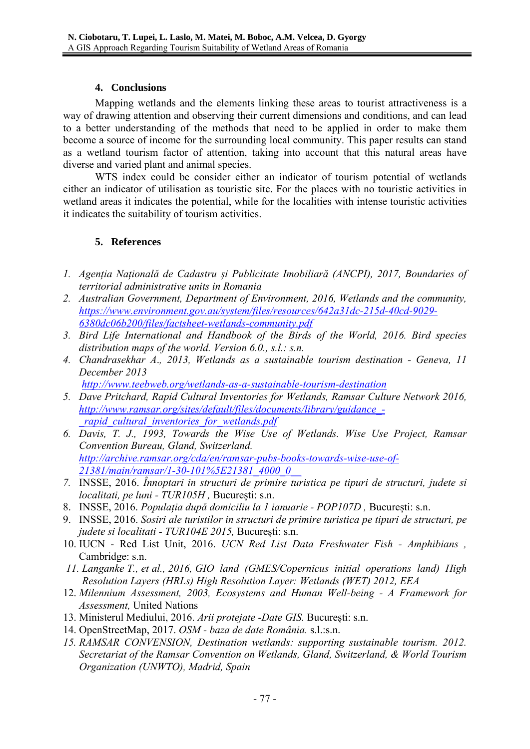### **4. Conclusions**

Mapping wetlands and the elements linking these areas to tourist attractiveness is a way of drawing attention and observing their current dimensions and conditions, and can lead to a better understanding of the methods that need to be applied in order to make them become a source of income for the surrounding local community. This paper results can stand as a wetland tourism factor of attention, taking into account that this natural areas have diverse and varied plant and animal species.

WTS index could be consider either an indicator of tourism potential of wetlands either an indicator of utilisation as touristic site. For the places with no touristic activities in wetland areas it indicates the potential, while for the localities with intense touristic activities it indicates the suitability of tourism activities.

## **5. References**

- *1. Agenția Națională de Cadastru și Publicitate Imobiliară (ANCPI), 2017, Boundaries of territorial administrative units in Romania*
- *2. Australian Government, Department of Environment, 2016, Wetlands and the community, https://www.environment.gov.au/system/files/resources/642a31dc-215d-40cd-9029- 6380dc06b200/files/factsheet-wetlands-community.pdf*
- *3. Bird Life International and Handbook of the Birds of the World, 2016. Bird species distribution maps of the world. Version 6.0., s.l.: s.n.*
- *4. Chandrasekhar A*.*, 2013, Wetlands as a sustainable tourism destination Geneva, 11 December 2013*

*http://www.teebweb.org/wetlands-as-a-sustainable-tourism-destination*

- *5. Dave Pritchard, Rapid Cultural Inventories for Wetlands, Ramsar Culture Network 2016, http://www.ramsar.org/sites/default/files/documents/library/guidance\_- \_rapid\_cultural\_inventories\_for\_wetlands.pdf*
- *6. Davis, T. J., 1993, Towards the Wise Use of Wetlands. Wise Use Project, Ramsar Convention Bureau, Gland, Switzerland. http://archive.ramsar.org/cda/en/ramsar-pubs-books-towards-wise-use-of-21381/main/ramsar/1-30-101%5E21381\_4000\_0\_\_*
- *7.* INSSE, 2016. *Înnoptari in structuri de primire turistica pe tipuri de structuri, judete si localitati, pe luni - TUR105H ,* București: s.n.
- 8. INSSE, 2016. *Populația după domiciliu la 1 ianuarie POP107D ,* București: s.n.
- 9. INSSE, 2016. *Sosiri ale turistilor in structuri de primire turistica pe tipuri de structuri, pe judete si localitati - TUR104E 2015,* București: s.n.
- 10. IUCN Red List Unit, 2016. *UCN Red List Data Freshwater Fish Amphibians ,*  Cambridge: s.n.
- *11. Langanke T., et al., 2016, GIO land (GMES/Copernicus initial operations land) High Resolution Layers (HRLs) High Resolution Layer: Wetlands (WET) 2012, EEA*
- 12. *Milennium Assessment, 2003, Ecosystems and Human Well-being A Framework for Assessment,* United Nations
- 13. Ministerul Mediului, 2016. *Arii protejate -Date GIS.* București: s.n.
- 14. OpenStreetMap, 2017. *OSM baza de date România.* s.l.:s.n.
- *15. RAMSAR CONVENSION, Destination wetlands: supporting sustainable tourism. 2012. Secretariat of the Ramsar Convention on Wetlands, Gland, Switzerland, & World Tourism Organization (UNWTO), Madrid, Spain*